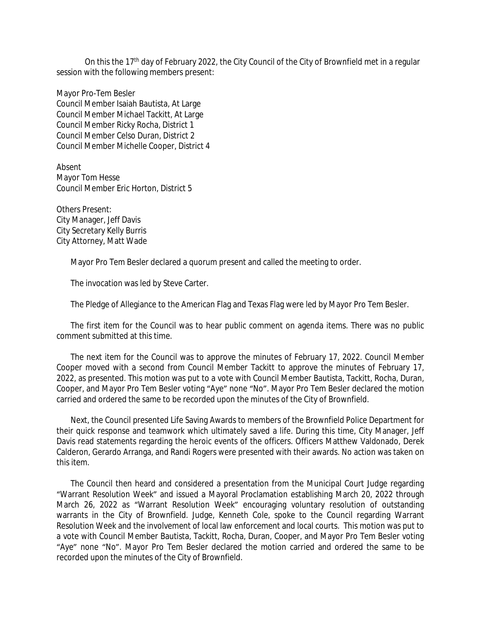On this the 17<sup>th</sup> day of February 2022, the City Council of the City of Brownfield met in a regular session with the following members present:

Mayor Pro-Tem Besler Council Member Isaiah Bautista, At Large Council Member Michael Tackitt, At Large Council Member Ricky Rocha, District 1 Council Member Celso Duran, District 2 Council Member Michelle Cooper, District 4

Absent Mayor Tom Hesse Council Member Eric Horton, District 5

Others Present: City Manager, Jeff Davis City Secretary Kelly Burris City Attorney, Matt Wade

Mayor Pro Tem Besler declared a quorum present and called the meeting to order.

The invocation was led by Steve Carter.

The Pledge of Allegiance to the American Flag and Texas Flag were led by Mayor Pro Tem Besler.

The first item for the Council was to hear public comment on agenda items. There was no public comment submitted at this time.

The next item for the Council was to approve the minutes of February 17, 2022. Council Member Cooper moved with a second from Council Member Tackitt to approve the minutes of February 17, 2022, as presented. This motion was put to a vote with Council Member Bautista, Tackitt, Rocha, Duran, Cooper, and Mayor Pro Tem Besler voting "Aye" none "No". Mayor Pro Tem Besler declared the motion carried and ordered the same to be recorded upon the minutes of the City of Brownfield.

Next, the Council presented Life Saving Awards to members of the Brownfield Police Department for their quick response and teamwork which ultimately saved a life. During this time, City Manager, Jeff Davis read statements regarding the heroic events of the officers. Officers Matthew Valdonado, Derek Calderon, Gerardo Arranga, and Randi Rogers were presented with their awards. No action was taken on this item.

The Council then heard and considered a presentation from the Municipal Court Judge regarding "Warrant Resolution Week" and issued a Mayoral Proclamation establishing March 20, 2022 through March 26, 2022 as "Warrant Resolution Week" encouraging voluntary resolution of outstanding warrants in the City of Brownfield. Judge, Kenneth Cole, spoke to the Council regarding Warrant Resolution Week and the involvement of local law enforcement and local courts. This motion was put to a vote with Council Member Bautista, Tackitt, Rocha, Duran, Cooper, and Mayor Pro Tem Besler voting "Aye" none "No". Mayor Pro Tem Besler declared the motion carried and ordered the same to be recorded upon the minutes of the City of Brownfield.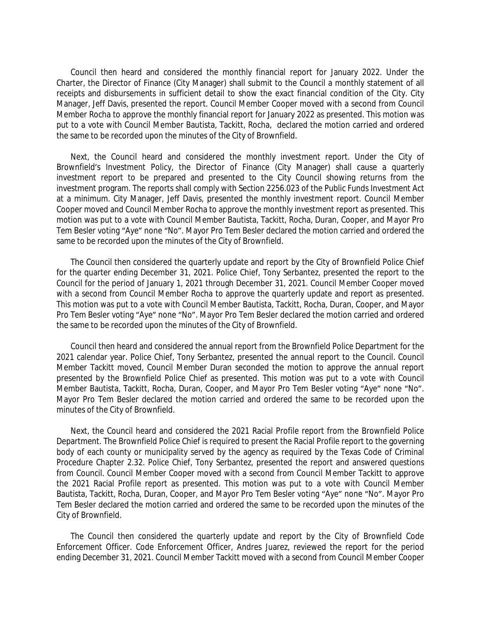Council then heard and considered the monthly financial report for January 2022. Under the Charter, the Director of Finance (City Manager) shall submit to the Council a monthly statement of all receipts and disbursements in sufficient detail to show the exact financial condition of the City. City Manager, Jeff Davis, presented the report. Council Member Cooper moved with a second from Council Member Rocha to approve the monthly financial report for January 2022 as presented. This motion was put to a vote with Council Member Bautista, Tackitt, Rocha, declared the motion carried and ordered the same to be recorded upon the minutes of the City of Brownfield.

Next, the Council heard and considered the monthly investment report. Under the City of Brownfield's Investment Policy, the Director of Finance (City Manager) shall cause a quarterly investment report to be prepared and presented to the City Council showing returns from the investment program. The reports shall comply with Section 2256.023 of the Public Funds Investment Act at a minimum. City Manager, Jeff Davis, presented the monthly investment report. Council Member Cooper moved and Council Member Rocha to approve the monthly investment report as presented. This motion was put to a vote with Council Member Bautista, Tackitt, Rocha, Duran, Cooper, and Mayor Pro Tem Besler voting "Aye" none "No". Mayor Pro Tem Besler declared the motion carried and ordered the same to be recorded upon the minutes of the City of Brownfield.

The Council then considered the quarterly update and report by the City of Brownfield Police Chief for the quarter ending December 31, 2021. Police Chief, Tony Serbantez, presented the report to the Council for the period of January 1, 2021 through December 31, 2021. Council Member Cooper moved with a second from Council Member Rocha to approve the quarterly update and report as presented. This motion was put to a vote with Council Member Bautista, Tackitt, Rocha, Duran, Cooper, and Mayor Pro Tem Besler voting "Aye" none "No". Mayor Pro Tem Besler declared the motion carried and ordered the same to be recorded upon the minutes of the City of Brownfield.

Council then heard and considered the annual report from the Brownfield Police Department for the 2021 calendar year. Police Chief, Tony Serbantez, presented the annual report to the Council. Council Member Tackitt moved, Council Member Duran seconded the motion to approve the annual report presented by the Brownfield Police Chief as presented. This motion was put to a vote with Council Member Bautista, Tackitt, Rocha, Duran, Cooper, and Mayor Pro Tem Besler voting "Aye" none "No". Mayor Pro Tem Besler declared the motion carried and ordered the same to be recorded upon the minutes of the City of Brownfield.

Next, the Council heard and considered the 2021 Racial Profile report from the Brownfield Police Department. The Brownfield Police Chief is required to present the Racial Profile report to the governing body of each county or municipality served by the agency as required by the Texas Code of Criminal Procedure Chapter 2.32. Police Chief, Tony Serbantez, presented the report and answered questions from Council. Council Member Cooper moved with a second from Council Member Tackitt to approve the 2021 Racial Profile report as presented. This motion was put to a vote with Council Member Bautista, Tackitt, Rocha, Duran, Cooper, and Mayor Pro Tem Besler voting "Aye" none "No". Mayor Pro Tem Besler declared the motion carried and ordered the same to be recorded upon the minutes of the City of Brownfield.

The Council then considered the quarterly update and report by the City of Brownfield Code Enforcement Officer. Code Enforcement Officer, Andres Juarez, reviewed the report for the period ending December 31, 2021. Council Member Tackitt moved with a second from Council Member Cooper